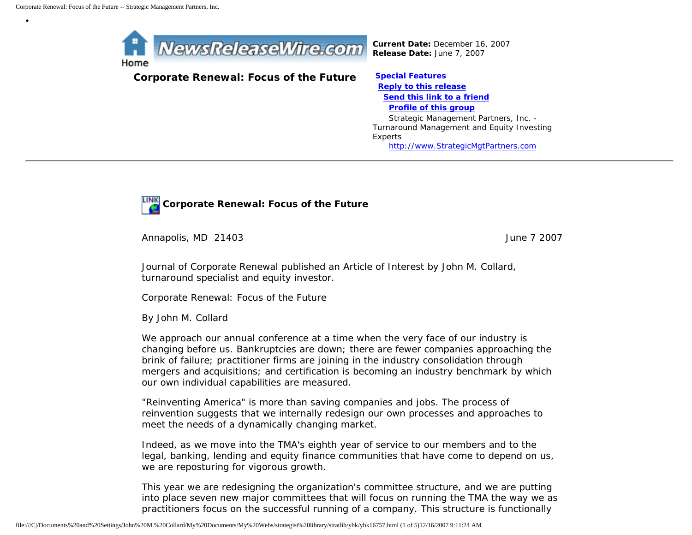•



*Current Date:* December 16, 2007 *Release Date:* June 7, 2007

## **Corporate Renewal: Focus of the Future [Special Features](javascript:openlittleme()**

 **[Reply to this release](file:///C|/Documents%20and%20Settings/John%20M.%20Collard/My%20Documents/My%20Webs/strategist%20library/stratlib/ybk/default.cfm?Action=ReplyRelease&Id=16757) [Send this link to a friend](file:///C|/Documents%20and%20Settings/John%20M.%20Collard/My%20Documents/My%20Webs/strategist%20library/stratlib/ybk/default.cfm?Action=SendLink&SendId=16757) [Profile of this group](file:///C|/Documents%20and%20Settings/John%20M.%20Collard/My%20Documents/My%20Webs/strategist%20library/stratlib/ybk/default.cfm?Action=Profile&ProfileId=623)** Strategic Management Partners, Inc. - Turnaround Management and Equity Investing Experts [http://www.StrategicMgtPartners.com](http://www.strategicmgtpartners.com/)



**Corporate Renewal: Focus of the Future** 

Annapolis, MD 21403 June 7 2007

Journal of Corporate Renewal published an Article of Interest by John M. Collard, turnaround specialist and equity investor.

Corporate Renewal: Focus of the Future

By John M. Collard

We approach our annual conference at a time when the very face of our industry is changing before us. Bankruptcies are down; there are fewer companies approaching the brink of failure; practitioner firms are joining in the industry consolidation through mergers and acquisitions; and certification is becoming an industry benchmark by which our own individual capabilities are measured.

"Reinventing America" is more than saving companies and jobs. The process of reinvention suggests that we internally redesign our own processes and approaches to meet the needs of a dynamically changing market.

Indeed, as we move into the TMA's eighth year of service to our members and to the legal, banking, lending and equity finance communities that have come to depend on us, we are reposturing for vigorous growth.

This year we are redesigning the organization's committee structure, and we are putting into place seven new major committees that will focus on running the TMA the way we as practitioners focus on the successful running of a company. This structure is functionally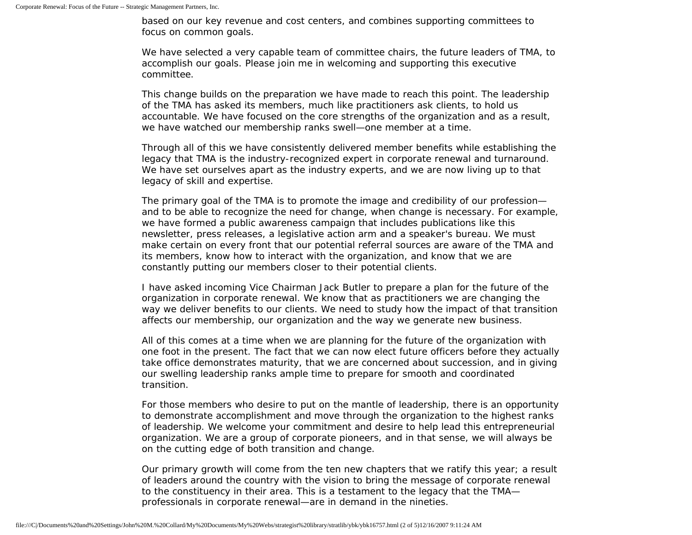based on our key revenue and cost centers, and combines supporting committees to focus on common goals.

We have selected a very capable team of committee chairs, the future leaders of TMA, to accomplish our goals. Please join me in welcoming and supporting this executive committee.

This change builds on the preparation we have made to reach this point. The leadership of the TMA has asked its members, much like practitioners ask clients, to hold us accountable. We have focused on the core strengths of the organization and as a result, we have watched our membership ranks swell—one member at a time.

Through all of this we have consistently delivered member benefits while establishing the legacy that TMA is the industry-recognized expert in corporate renewal and turnaround. We have set ourselves apart as the industry experts, and we are now living up to that legacy of skill and expertise.

The primary goal of the TMA is to promote the image and credibility of our profession and to be able to recognize the need for change, when change is necessary. For example, we have formed a public awareness campaign that includes publications like this newsletter, press releases, a legislative action arm and a speaker's bureau. We must make certain on every front that our potential referral sources are aware of the TMA and its members, know how to interact with the organization, and know that we are constantly putting our members closer to their potential clients.

I have asked incoming Vice Chairman Jack Butler to prepare a plan for the future of the organization in corporate renewal. We know that as practitioners we are changing the way we deliver benefits to our clients. We need to study how the impact of that transition affects our membership, our organization and the way we generate new business.

All of this comes at a time when we are planning for the future of the organization with one foot in the present. The fact that we can now elect future officers before they actually take office demonstrates maturity, that we are concerned about succession, and in giving our swelling leadership ranks ample time to prepare for smooth and coordinated transition.

For those members who desire to put on the mantle of leadership, there is an opportunity to demonstrate accomplishment and move through the organization to the highest ranks of leadership. We welcome your commitment and desire to help lead this entrepreneurial organization. We are a group of corporate pioneers, and in that sense, we will always be on the cutting edge of both transition and change.

Our primary growth will come from the ten new chapters that we ratify this year; a result of leaders around the country with the vision to bring the message of corporate renewal to the constituency in their area. This is a testament to the legacy that the TMA professionals in corporate renewal—are in demand in the nineties.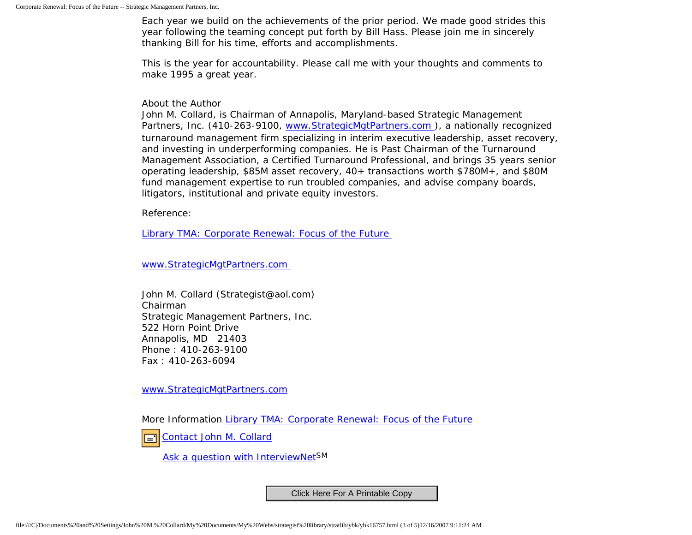Each year we build on the achievements of the prior period. We made good strides this year following the teaming concept put forth by Bill Hass. Please join me in sincerely thanking Bill for his time, efforts and accomplishments.

This is the year for accountability. Please call me with your thoughts and comments to make 1995 a great year.

About the Author

John M. Collard, is Chairman of Annapolis, Maryland-based Strategic Management Partners, Inc. (410-263-9100, www.StrategicMgtPartners.com), a nationally recognized turnaround management firm specializing in interim executive leadership, asset recovery, and investing in underperforming companies. He is Past Chairman of the Turnaround Management Association, a Certified Turnaround Professional, and brings 35 years senior operating leadership, \$85M asset recovery, 40+ transactions worth \$780M+, and \$80M fund management expertise to run troubled companies, and advise company boards, litigators, institutional and private equity investors.

Reference:

[Library TMA: Corporate Renewal: Focus of the Future](http://www.turnaround.org/news/letter.asp?objectID=2080)

[www.StrategicMgtPartners.com](http://www.strategicmgtpartners.com/)

John M. Collard (Strategist@aol.com) Chairman Strategic Management Partners, Inc. 522 Horn Point Drive Annapolis, MD 21403 Phone : 410-263-9100 Fax : 410-263-6094

[www.StrategicMgtPartners.com](http://www.strategicmgtpartners.com/)

More Information [Library TMA: Corporate Renewal: Focus of the Future](http://www.turnaround.org/news/letter.asp?objectID=2080)



[Ask a question with InterviewNetS](http://www.expertclick.com/expertClick/contact/default.cfm?GroupID=1016)M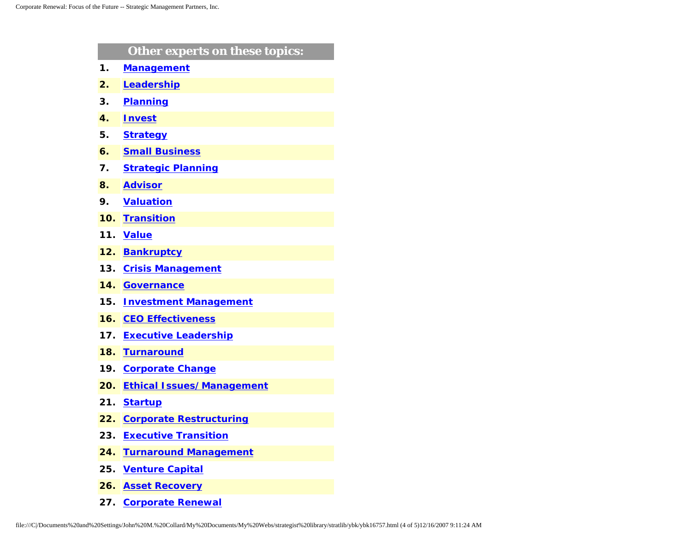|     | Other experts on these topics:   |
|-----|----------------------------------|
| 1.  | <b>Management</b>                |
| 2.  | Leadership                       |
| 3.  | <b>Planning</b>                  |
| 4.  | <b>Invest</b>                    |
| 5.  | <b>Strategy</b>                  |
| 6.  | <b>Small Business</b>            |
| 7.  | <b>Strategic Planning</b>        |
| 8.  | <b>Advisor</b>                   |
| 9.  | <b>Valuation</b>                 |
| 10. | <b>Transition</b>                |
| 11. | <b>Value</b>                     |
| 12. | <b>Bankruptcy</b>                |
| 13. | <b>Crisis Management</b>         |
| 14. | <b>Governance</b>                |
| 15. | <b>Investment Management</b>     |
| 16. | <b>CEO Effectiveness</b>         |
| 17. | <b>Executive Leadership</b>      |
| 18. | <b>Turnaround</b>                |
| 19. | <b>Corporate Change</b>          |
| 20. | <b>Ethical Issues/Management</b> |
| 21. | <b>Startup</b>                   |
| 22. | <b>Corporate Restructuring</b>   |
| 23. | <b>Executive Transition</b>      |
| 24. | <b>Turnaround Management</b>     |
| 25. | <b>Venture Capital</b>           |
| 26. | <b>Asset Recovery</b>            |

**27. [Corporate Renewal](http://www.expertclick.com/search/default.cfm?SearchCriteria=Corporate Renewal)**